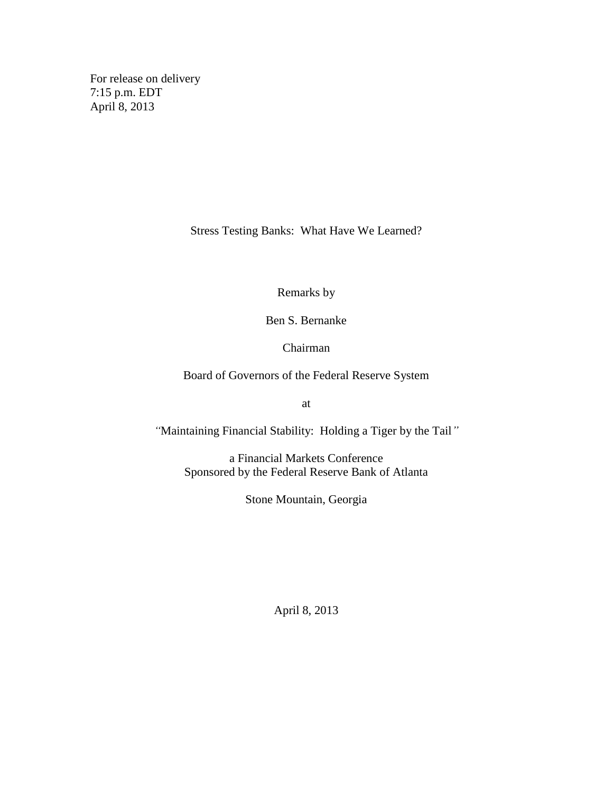For release on delivery 7:15 p.m. EDT April 8, 2013

Stress Testing Banks: What Have We Learned?

Remarks by

Ben S. Bernanke

Chairman

Board of Governors of the Federal Reserve System

at

*"*Maintaining Financial Stability: Holding a Tiger by the Tail*"*

a Financial Markets Conference Sponsored by the Federal Reserve Bank of Atlanta

Stone Mountain, Georgia

April 8, 2013